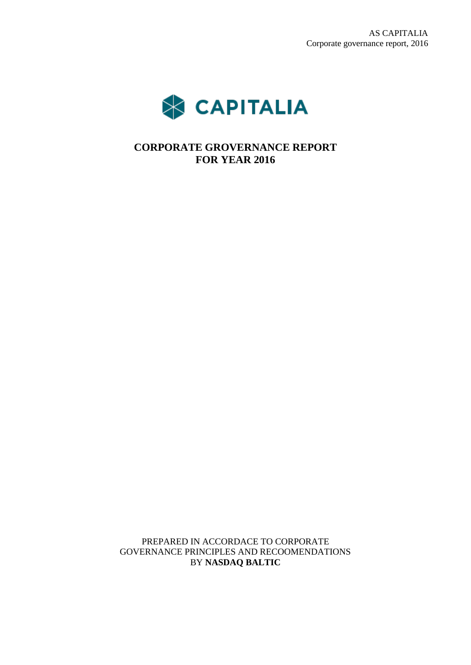

**CORPORATE GROVERNANCE REPORT FOR YEAR 2016**

PREPARED IN ACCORDACE TO CORPORATE GOVERNANCE PRINCIPLES AND RECOOMENDATIONS BY **NASDAQ BALTIC**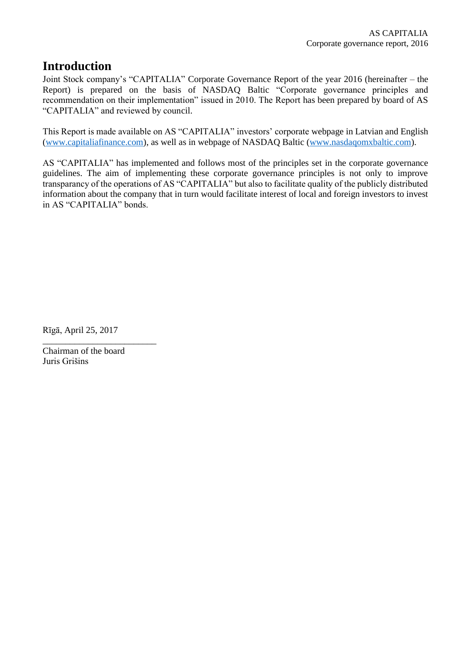# **Introduction**

Joint Stock company's "CAPITALIA" Corporate Governance Report of the year 2016 (hereinafter – the Report) is prepared on the basis of NASDAQ Baltic "Corporate governance principles and recommendation on their implementation" issued in 2010. The Report has been prepared by board of AS "CAPITALIA" and reviewed by council.

This Report is made available on AS "CAPITALIA" investors' corporate webpage in Latvian and English [\(www.capitaliafinance.com\)](http://www.capitaliafinance.com/), as well as in webpage of NASDAQ Baltic [\(www.nasdaqomxbaltic.com\)](http://www.nasdaqomxbaltic.com/).

AS "CAPITALIA" has implemented and follows most of the principles set in the corporate governance guidelines. The aim of implementing these corporate governance principles is not only to improve transparancy of the operations of AS "CAPITALIA" but also to facilitate quality of the publicly distributed information about the company that in turn would facilitate interest of local and foreign investors to invest in AS "CAPITALIA" bonds.

Rīgā, April 25, 2017

Chairman of the board Juris Grišins

\_\_\_\_\_\_\_\_\_\_\_\_\_\_\_\_\_\_\_\_\_\_\_\_\_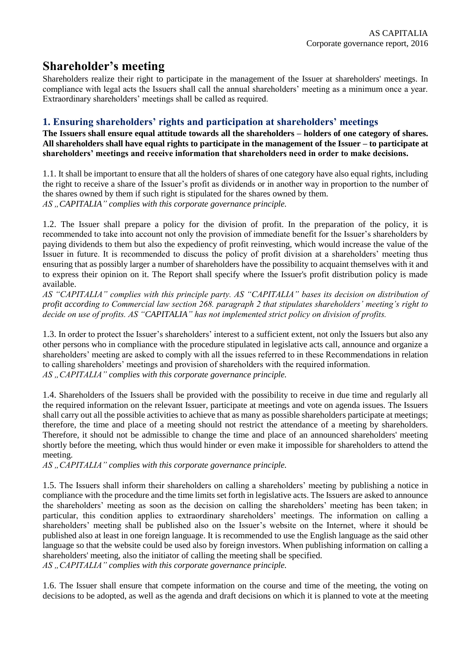# **Shareholder's meeting**

Shareholders realize their right to participate in the management of the Issuer at shareholders' meetings. In compliance with legal acts the Issuers shall call the annual shareholders' meeting as a minimum once a year. Extraordinary shareholders' meetings shall be called as required.

### **1. Ensuring shareholders' rights and participation at shareholders' meetings**

**The Issuers shall ensure equal attitude towards all the shareholders – holders of one category of shares. All shareholders shall have equal rights to participate in the management of the Issuer – to participate at shareholders' meetings and receive information that shareholders need in order to make decisions.**

1.1. It shall be important to ensure that all the holders of shares of one category have also equal rights, including the right to receive a share of the Issuer's profit as dividends or in another way in proportion to the number of the shares owned by them if such right is stipulated for the shares owned by them. AS ..CAPITALIA" complies with this corporate governance principle.

1.2. The Issuer shall prepare a policy for the division of profit. In the preparation of the policy, it is recommended to take into account not only the provision of immediate benefit for the Issuer's shareholders by paying dividends to them but also the expediency of profit reinvesting, which would increase the value of the Issuer in future. It is recommended to discuss the policy of profit division at a shareholders' meeting thus ensuring that as possibly larger a number of shareholders have the possibility to acquaint themselves with it and to express their opinion on it. The Report shall specify where the Issuer's profit distribution policy is made available.

*AS "CAPITALIA" complies with this principle party. AS "CAPITALIA" bases its decision on distribution of profit according to Commercial law section 268. paragraph 2 that stipulates shareholders' meeting's right to decide on use of profits. AS "CAPITALIA" has not implemented strict policy on division of profits.* 

1.3. In order to protect the Issuer's shareholders' interest to a sufficient extent, not only the Issuers but also any other persons who in compliance with the procedure stipulated in legislative acts call, announce and organize a shareholders' meeting are asked to comply with all the issues referred to in these Recommendations in relation to calling shareholders' meetings and provision of shareholders with the required information. AS "CAPITALIA" complies with this corporate governance principle.

1.4. Shareholders of the Issuers shall be provided with the possibility to receive in due time and regularly all the required information on the relevant Issuer, participate at meetings and vote on agenda issues. The Issuers shall carry out all the possible activities to achieve that as many as possible shareholders participate at meetings; therefore, the time and place of a meeting should not restrict the attendance of a meeting by shareholders. Therefore, it should not be admissible to change the time and place of an announced shareholders' meeting shortly before the meeting, which thus would hinder or even make it impossible for shareholders to attend the meeting.

AS ...CAPITALIA" complies with this corporate governance principle.

1.5. The Issuers shall inform their shareholders on calling a shareholders' meeting by publishing a notice in compliance with the procedure and the time limits set forth in legislative acts. The Issuers are asked to announce the shareholders' meeting as soon as the decision on calling the shareholders' meeting has been taken; in particular, this condition applies to extraordinary shareholders' meetings. The information on calling a shareholders' meeting shall be published also on the Issuer's website on the Internet, where it should be published also at least in one foreign language. It is recommended to use the English language as the said other language so that the website could be used also by foreign investors. When publishing information on calling a shareholders' meeting, also the initiator of calling the meeting shall be specified.

AS "CAPITALIA" complies with this corporate governance principle.

1.6. The Issuer shall ensure that compete information on the course and time of the meeting, the voting on decisions to be adopted, as well as the agenda and draft decisions on which it is planned to vote at the meeting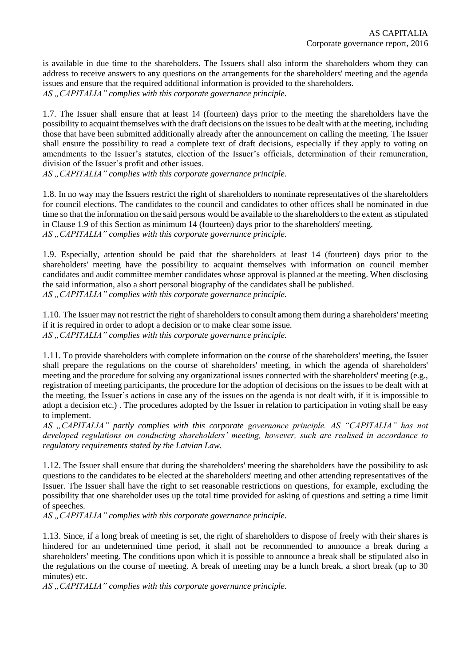is available in due time to the shareholders. The Issuers shall also inform the shareholders whom they can address to receive answers to any questions on the arrangements for the shareholders' meeting and the agenda issues and ensure that the required additional information is provided to the shareholders. AS "CAPITALIA" complies with this corporate governance principle.

1.7. The Issuer shall ensure that at least 14 (fourteen) days prior to the meeting the shareholders have the possibility to acquaint themselves with the draft decisions on the issues to be dealt with at the meeting, including those that have been submitted additionally already after the announcement on calling the meeting. The Issuer shall ensure the possibility to read a complete text of draft decisions, especially if they apply to voting on amendments to the Issuer's statutes, election of the Issuer's officials, determination of their remuneration, division of the Issuer's profit and other issues.

AS "CAPITALIA" complies with this corporate governance principle.

1.8. In no way may the Issuers restrict the right of shareholders to nominate representatives of the shareholders for council elections. The candidates to the council and candidates to other offices shall be nominated in due time so that the information on the said persons would be available to the shareholders to the extent as stipulated in Clause 1.9 of this Section as minimum 14 (fourteen) days prior to the shareholders' meeting. AS "CAPITALIA" complies with this corporate governance principle.

1.9. Especially, attention should be paid that the shareholders at least 14 (fourteen) days prior to the shareholders' meeting have the possibility to acquaint themselves with information on council member candidates and audit committee member candidates whose approval is planned at the meeting. When disclosing the said information, also a short personal biography of the candidates shall be published. AS "CAPITALIA" complies with this corporate governance principle.

1.10. The Issuer may not restrict the right of shareholders to consult among them during a shareholders' meeting if it is required in order to adopt a decision or to make clear some issue. AS "CAPITALIA" complies with this corporate governance principle.

1.11. To provide shareholders with complete information on the course of the shareholders' meeting, the Issuer shall prepare the regulations on the course of shareholders' meeting, in which the agenda of shareholders' meeting and the procedure for solving any organizational issues connected with the shareholders' meeting (e.g., registration of meeting participants, the procedure for the adoption of decisions on the issues to be dealt with at the meeting, the Issuer's actions in case any of the issues on the agenda is not dealt with, if it is impossible to adopt a decision etc.) . The procedures adopted by the Issuer in relation to participation in voting shall be easy to implement.

*AS "CAPITALIA" partly complies with this corporate governance principle. AS "CAPITALIA" has not developed regulations on conducting shareholders' meeting, however, such are realised in accordance to regulatory requirements stated by the Latvian Law.*

1.12. The Issuer shall ensure that during the shareholders' meeting the shareholders have the possibility to ask questions to the candidates to be elected at the shareholders' meeting and other attending representatives of the Issuer. The Issuer shall have the right to set reasonable restrictions on questions, for example, excluding the possibility that one shareholder uses up the total time provided for asking of questions and setting a time limit of speeches.

AS ...CAPITALIA" complies with this corporate governance principle.

1.13. Since, if a long break of meeting is set, the right of shareholders to dispose of freely with their shares is hindered for an undetermined time period, it shall not be recommended to announce a break during a shareholders' meeting. The conditions upon which it is possible to announce a break shall be stipulated also in the regulations on the course of meeting. A break of meeting may be a lunch break, a short break (up to 30 minutes) etc.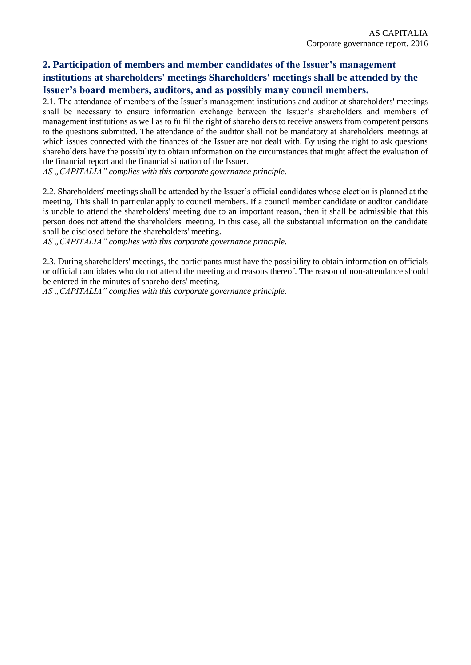### **2. Participation of members and member candidates of the Issuer's management institutions at shareholders' meetings Shareholders' meetings shall be attended by the Issuer's board members, auditors, and as possibly many council members.**

2.1. The attendance of members of the Issuer's management institutions and auditor at shareholders' meetings shall be necessary to ensure information exchange between the Issuer's shareholders and members of management institutions as well as to fulfil the right of shareholders to receive answers from competent persons to the questions submitted. The attendance of the auditor shall not be mandatory at shareholders' meetings at which issues connected with the finances of the Issuer are not dealt with. By using the right to ask questions shareholders have the possibility to obtain information on the circumstances that might affect the evaluation of the financial report and the financial situation of the Issuer.

AS "CAPITALIA" complies with this corporate governance principle.

2.2. Shareholders' meetings shall be attended by the Issuer's official candidates whose election is planned at the meeting. This shall in particular apply to council members. If a council member candidate or auditor candidate is unable to attend the shareholders' meeting due to an important reason, then it shall be admissible that this person does not attend the shareholders' meeting. In this case, all the substantial information on the candidate shall be disclosed before the shareholders' meeting.

AS "CAPITALIA" complies with this corporate governance principle.

2.3. During shareholders' meetings, the participants must have the possibility to obtain information on officials or official candidates who do not attend the meeting and reasons thereof. The reason of non-attendance should be entered in the minutes of shareholders' meeting.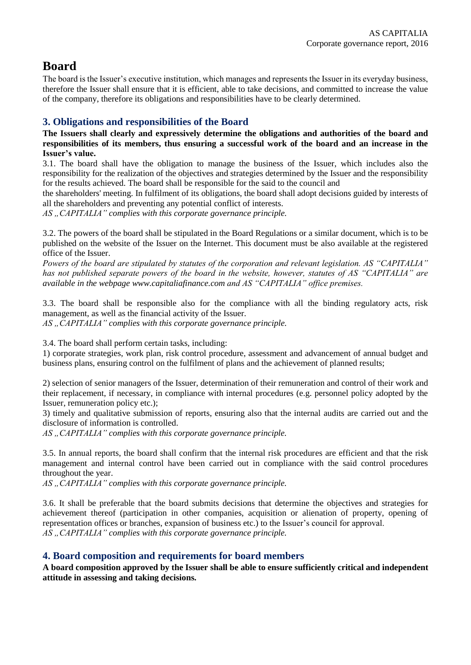# **Board**

The board is the Issuer's executive institution, which manages and represents the Issuer in its everyday business, therefore the Issuer shall ensure that it is efficient, able to take decisions, and committed to increase the value of the company, therefore its obligations and responsibilities have to be clearly determined.

### **3. Obligations and responsibilities of the Board**

**The Issuers shall clearly and expressively determine the obligations and authorities of the board and responsibilities of its members, thus ensuring a successful work of the board and an increase in the Issuer's value.**

3.1. The board shall have the obligation to manage the business of the Issuer, which includes also the responsibility for the realization of the objectives and strategies determined by the Issuer and the responsibility for the results achieved. The board shall be responsible for the said to the council and

the shareholders' meeting. In fulfilment of its obligations, the board shall adopt decisions guided by interests of all the shareholders and preventing any potential conflict of interests.

AS ...CAPITALIA" complies with this corporate governance principle.

3.2. The powers of the board shall be stipulated in the Board Regulations or a similar document, which is to be published on the website of the Issuer on the Internet. This document must be also available at the registered office of the Issuer.

*Powers of the board are stipulated by statutes of the corporation and relevant legislation. AS "CAPITALIA" has not published separate powers of the board in the website, however, statutes of AS "CAPITALIA" are available in the webpage www.capitaliafinance.com and AS "CAPITALIA" office premises.* 

3.3. The board shall be responsible also for the compliance with all the binding regulatory acts, risk management, as well as the financial activity of the Issuer.

AS "CAPITALIA" complies with this corporate governance principle.

3.4. The board shall perform certain tasks, including:

1) corporate strategies, work plan, risk control procedure, assessment and advancement of annual budget and business plans, ensuring control on the fulfilment of plans and the achievement of planned results;

2) selection of senior managers of the Issuer, determination of their remuneration and control of their work and their replacement, if necessary, in compliance with internal procedures (e.g. personnel policy adopted by the Issuer, remuneration policy etc.);

3) timely and qualitative submission of reports, ensuring also that the internal audits are carried out and the disclosure of information is controlled.

AS "CAPITALIA" complies with this corporate governance principle.

3.5. In annual reports, the board shall confirm that the internal risk procedures are efficient and that the risk management and internal control have been carried out in compliance with the said control procedures throughout the year.

AS, CAPITALIA" complies with this corporate governance principle.

3.6. It shall be preferable that the board submits decisions that determine the objectives and strategies for achievement thereof (participation in other companies, acquisition or alienation of property, opening of representation offices or branches, expansion of business etc.) to the Issuer's council for approval. AS ...CAPITALIA" complies with this corporate governance principle.

#### **4. Board composition and requirements for board members**

**A board composition approved by the Issuer shall be able to ensure sufficiently critical and independent attitude in assessing and taking decisions.**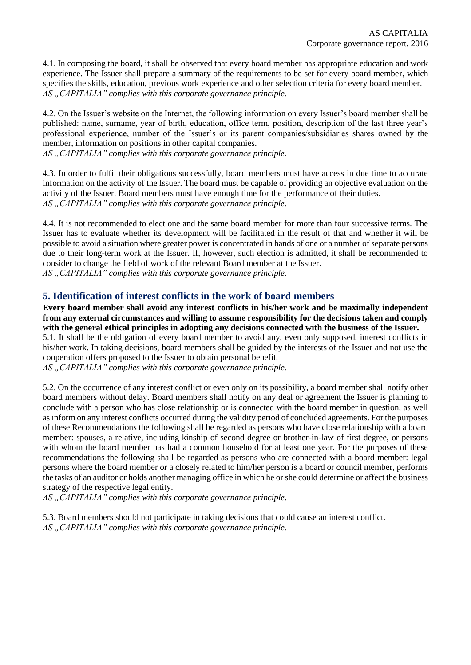4.1. In composing the board, it shall be observed that every board member has appropriate education and work experience. The Issuer shall prepare a summary of the requirements to be set for every board member, which specifies the skills, education, previous work experience and other selection criteria for every board member. AS "CAPITALIA" complies with this corporate governance principle.

4.2. On the Issuer's website on the Internet, the following information on every Issuer's board member shall be published: name, surname, year of birth, education, office term, position, description of the last three year's professional experience, number of the Issuer's or its parent companies/subsidiaries shares owned by the member, information on positions in other capital companies.

*AS "CAPITALIA" complies with this corporate governance principle.* 

4.3. In order to fulfil their obligations successfully, board members must have access in due time to accurate information on the activity of the Issuer. The board must be capable of providing an objective evaluation on the activity of the Issuer. Board members must have enough time for the performance of their duties. AS "CAPITALIA" complies with this corporate governance principle.

4.4. It is not recommended to elect one and the same board member for more than four successive terms. The Issuer has to evaluate whether its development will be facilitated in the result of that and whether it will be possible to avoid a situation where greater power is concentrated in hands of one or a number of separate persons due to their long-term work at the Issuer. If, however, such election is admitted, it shall be recommended to consider to change the field of work of the relevant Board member at the Issuer. AS "CAPITALIA" complies with this corporate governance principle.

**5. Identification of interest conflicts in the work of board members**

**Every board member shall avoid any interest conflicts in his/her work and be maximally independent from any external circumstances and willing to assume responsibility for the decisions taken and comply with the general ethical principles in adopting any decisions connected with the business of the Issuer.** 5.1. It shall be the obligation of every board member to avoid any, even only supposed, interest conflicts in his/her work. In taking decisions, board members shall be guided by the interests of the Issuer and not use the

cooperation offers proposed to the Issuer to obtain personal benefit. *AS "CAPITALIA" complies with this corporate governance principle.* 

5.2. On the occurrence of any interest conflict or even only on its possibility, a board member shall notify other board members without delay. Board members shall notify on any deal or agreement the Issuer is planning to conclude with a person who has close relationship or is connected with the board member in question, as well as inform on any interest conflicts occurred during the validity period of concluded agreements. For the purposes of these Recommendations the following shall be regarded as persons who have close relationship with a board member: spouses, a relative, including kinship of second degree or brother-in-law of first degree, or persons with whom the board member has had a common household for at least one year. For the purposes of these recommendations the following shall be regarded as persons who are connected with a board member: legal persons where the board member or a closely related to him/her person is a board or council member, performs the tasks of an auditor or holds another managing office in which he or she could determine or affect the business strategy of the respective legal entity.

AS "CAPITALIA" complies with this corporate governance principle.

5.3. Board members should not participate in taking decisions that could cause an interest conflict. AS, CAPITALIA" complies with this corporate governance principle.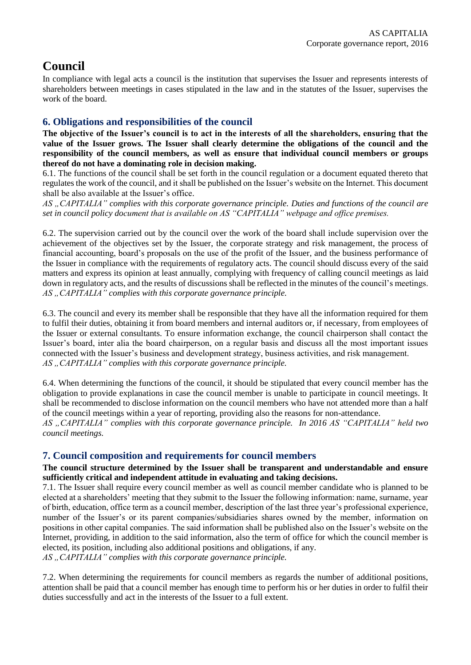# **Council**

In compliance with legal acts a council is the institution that supervises the Issuer and represents interests of shareholders between meetings in cases stipulated in the law and in the statutes of the Issuer, supervises the work of the board.

### **6. Obligations and responsibilities of the council**

**The objective of the Issuer's council is to act in the interests of all the shareholders, ensuring that the value of the Issuer grows. The Issuer shall clearly determine the obligations of the council and the responsibility of the council members, as well as ensure that individual council members or groups thereof do not have a dominating role in decision making.**

6.1. The functions of the council shall be set forth in the council regulation or a document equated thereto that regulates the work of the council, and it shall be published on the Issuer's website on the Internet. This document shall be also available at the Issuer's office.

*AS "CAPITALIA" complies with this corporate governance principle. Duties and functions of the council are set in council policy document that is available on AS "CAPITALIA" webpage and office premises.* 

6.2. The supervision carried out by the council over the work of the board shall include supervision over the achievement of the objectives set by the Issuer, the corporate strategy and risk management, the process of financial accounting, board's proposals on the use of the profit of the Issuer, and the business performance of the Issuer in compliance with the requirements of regulatory acts. The council should discuss every of the said matters and express its opinion at least annually, complying with frequency of calling council meetings as laid down in regulatory acts, and the results of discussions shall be reflected in the minutes of the council's meetings. *AS "CAPITALIA" complies with this corporate governance principle.* 

6.3. The council and every its member shall be responsible that they have all the information required for them to fulfil their duties, obtaining it from board members and internal auditors or, if necessary, from employees of the Issuer or external consultants. To ensure information exchange, the council chairperson shall contact the Issuer's board, inter alia the board chairperson, on a regular basis and discuss all the most important issues connected with the Issuer's business and development strategy, business activities, and risk management. AS ...CAPITALIA" complies with this corporate governance principle.

6.4. When determining the functions of the council, it should be stipulated that every council member has the obligation to provide explanations in case the council member is unable to participate in council meetings. It shall be recommended to disclose information on the council members who have not attended more than a half of the council meetings within a year of reporting, providing also the reasons for non-attendance.

*AS "CAPITALIA" complies with this corporate governance principle. In 2016 AS "CAPITALIA" held two council meetings.*

#### **7. Council composition and requirements for council members**

#### **The council structure determined by the Issuer shall be transparent and understandable and ensure sufficiently critical and independent attitude in evaluating and taking decisions.**

7.1. The Issuer shall require every council member as well as council member candidate who is planned to be elected at a shareholders' meeting that they submit to the Issuer the following information: name, surname, year of birth, education, office term as a council member, description of the last three year's professional experience, number of the Issuer's or its parent companies/subsidiaries shares owned by the member, information on positions in other capital companies. The said information shall be published also on the Issuer's website on the Internet, providing, in addition to the said information, also the term of office for which the council member is elected, its position, including also additional positions and obligations, if any.

AS "CAPITALIA" complies with this corporate governance principle.

7.2. When determining the requirements for council members as regards the number of additional positions, attention shall be paid that a council member has enough time to perform his or her duties in order to fulfil their duties successfully and act in the interests of the Issuer to a full extent.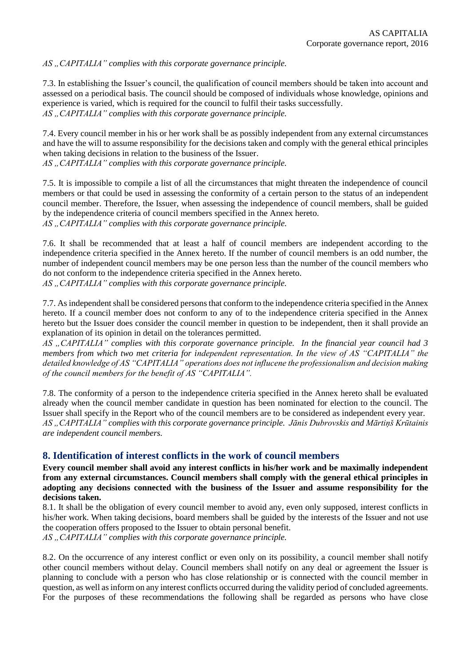AS "CAPITALIA" complies with this corporate governance principle.

7.3. In establishing the Issuer's council, the qualification of council members should be taken into account and assessed on a periodical basis. The council should be composed of individuals whose knowledge, opinions and experience is varied, which is required for the council to fulfil their tasks successfully. AS ...CAPITALIA" complies with this corporate governance principle.

7.4. Every council member in his or her work shall be as possibly independent from any external circumstances and have the will to assume responsibility for the decisions taken and comply with the general ethical principles when taking decisions in relation to the business of the Issuer.

AS "CAPITALIA" complies with this corporate governance principle.

7.5. It is impossible to compile a list of all the circumstances that might threaten the independence of council members or that could be used in assessing the conformity of a certain person to the status of an independent council member. Therefore, the Issuer, when assessing the independence of council members, shall be guided by the independence criteria of council members specified in the Annex hereto. AS ...CAPITALIA" complies with this corporate governance principle.

7.6. It shall be recommended that at least a half of council members are independent according to the independence criteria specified in the Annex hereto. If the number of council members is an odd number, the number of independent council members may be one person less than the number of the council members who do not conform to the independence criteria specified in the Annex hereto. *AS "CAPITALIA" complies with this corporate governance principle.* 

7.7. As independent shall be considered persons that conform to the independence criteria specified in the Annex hereto. If a council member does not conform to any of to the independence criteria specified in the Annex hereto but the Issuer does consider the council member in question to be independent, then it shall provide an explanation of its opinion in detail on the tolerances permitted.

*AS "CAPITALIA" complies with this corporate governance principle. In the financial year council had 3 members from which two met criteria for independent representation. In the view of AS "CAPITALIA" the detailed knowledge of AS "CAPITALIA" operations does not influcene the professionalism and decision making of the council members for the benefit of AS "CAPITALIA".* 

7.8. The conformity of a person to the independence criteria specified in the Annex hereto shall be evaluated already when the council member candidate in question has been nominated for election to the council. The Issuer shall specify in the Report who of the council members are to be considered as independent every year. *AS "CAPITALIA" complies with this corporate governance principle. Jānis Dubrovskis and Mārtiņš Krūtainis are independent council members.* 

#### **8. Identification of interest conflicts in the work of council members**

**Every council member shall avoid any interest conflicts in his/her work and be maximally independent from any external circumstances. Council members shall comply with the general ethical principles in adopting any decisions connected with the business of the Issuer and assume responsibility for the decisions taken.**

8.1. It shall be the obligation of every council member to avoid any, even only supposed, interest conflicts in his/her work. When taking decisions, board members shall be guided by the interests of the Issuer and not use the cooperation offers proposed to the Issuer to obtain personal benefit. AS "CAPITALIA" complies with this corporate governance principle.

8.2. On the occurrence of any interest conflict or even only on its possibility, a council member shall notify other council members without delay. Council members shall notify on any deal or agreement the Issuer is planning to conclude with a person who has close relationship or is connected with the council member in question, as well asinform on any interest conflicts occurred during the validity period of concluded agreements. For the purposes of these recommendations the following shall be regarded as persons who have close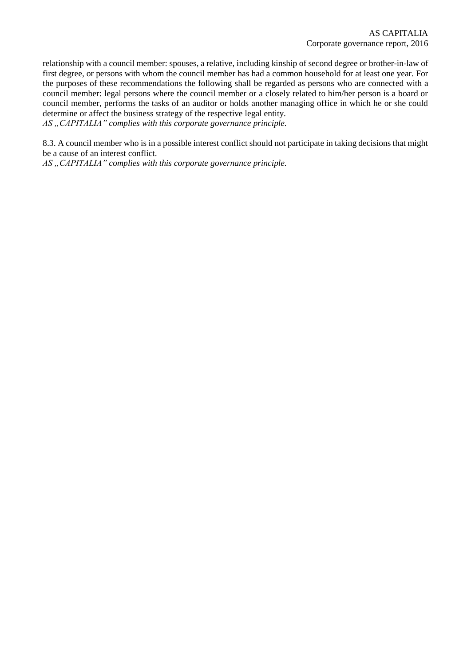relationship with a council member: spouses, a relative, including kinship of second degree or brother-in-law of first degree, or persons with whom the council member has had a common household for at least one year. For the purposes of these recommendations the following shall be regarded as persons who are connected with a council member: legal persons where the council member or a closely related to him/her person is a board or council member, performs the tasks of an auditor or holds another managing office in which he or she could determine or affect the business strategy of the respective legal entity.

AS "CAPITALIA" complies with this corporate governance principle.

8.3. A council member who is in a possible interest conflict should not participate in taking decisions that might be a cause of an interest conflict.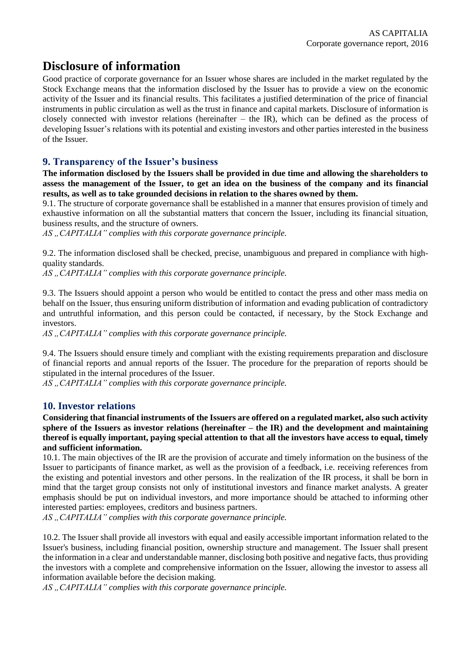# **Disclosure of information**

Good practice of corporate governance for an Issuer whose shares are included in the market regulated by the Stock Exchange means that the information disclosed by the Issuer has to provide a view on the economic activity of the Issuer and its financial results. This facilitates a justified determination of the price of financial instruments in public circulation as well as the trust in finance and capital markets. Disclosure of information is closely connected with investor relations (hereinafter – the IR), which can be defined as the process of developing Issuer's relations with its potential and existing investors and other parties interested in the business of the Issuer.

### **9. Transparency of the Issuer's business**

**The information disclosed by the Issuers shall be provided in due time and allowing the shareholders to assess the management of the Issuer, to get an idea on the business of the company and its financial results, as well as to take grounded decisions in relation to the shares owned by them.**

9.1. The structure of corporate governance shall be established in a manner that ensures provision of timely and exhaustive information on all the substantial matters that concern the Issuer, including its financial situation, business results, and the structure of owners.

AS "CAPITALIA" complies with this corporate governance principle.

9.2. The information disclosed shall be checked, precise, unambiguous and prepared in compliance with highquality standards.

*AS "CAPITALIA" complies with this corporate governance principle.* 

9.3. The Issuers should appoint a person who would be entitled to contact the press and other mass media on behalf on the Issuer, thus ensuring uniform distribution of information and evading publication of contradictory and untruthful information, and this person could be contacted, if necessary, by the Stock Exchange and investors.

AS "CAPITALIA" complies with this corporate governance principle.

9.4. The Issuers should ensure timely and compliant with the existing requirements preparation and disclosure of financial reports and annual reports of the Issuer. The procedure for the preparation of reports should be stipulated in the internal procedures of the Issuer.

AS ...CAPITALIA" complies with this corporate governance principle.

#### **10. Investor relations**

**Considering that financial instruments of the Issuers are offered on a regulated market, also such activity sphere of the Issuers as investor relations (hereinafter – the IR) and the development and maintaining thereof is equally important, paying special attention to that all the investors have access to equal, timely and sufficient information.**

10.1. The main objectives of the IR are the provision of accurate and timely information on the business of the Issuer to participants of finance market, as well as the provision of a feedback, i.e. receiving references from the existing and potential investors and other persons. In the realization of the IR process, it shall be born in mind that the target group consists not only of institutional investors and finance market analysts. A greater emphasis should be put on individual investors, and more importance should be attached to informing other interested parties: employees, creditors and business partners.

AS "CAPITALIA" complies with this corporate governance principle.

10.2. The Issuer shall provide all investors with equal and easily accessible important information related to the Issuer's business, including financial position, ownership structure and management. The Issuer shall present the information in a clear and understandable manner, disclosing both positive and negative facts, thus providing the investors with a complete and comprehensive information on the Issuer, allowing the investor to assess all information available before the decision making.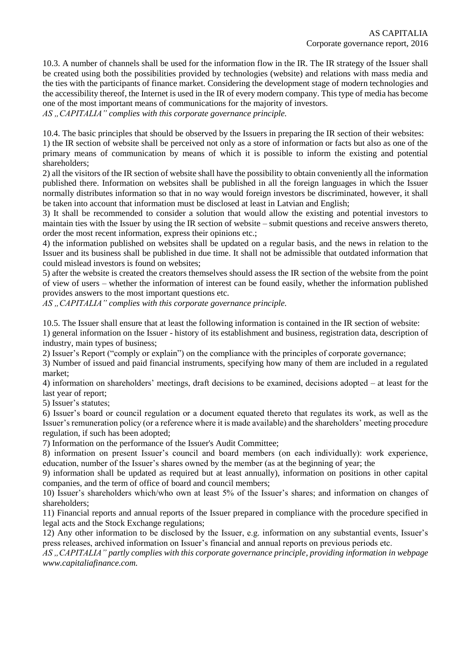10.3. A number of channels shall be used for the information flow in the IR. The IR strategy of the Issuer shall be created using both the possibilities provided by technologies (website) and relations with mass media and the ties with the participants of finance market. Considering the development stage of modern technologies and the accessibility thereof, the Internet is used in the IR of every modern company. This type of media has become one of the most important means of communications for the majority of investors.

AS ...CAPITALIA" complies with this corporate governance principle.

10.4. The basic principles that should be observed by the Issuers in preparing the IR section of their websites:

1) the IR section of website shall be perceived not only as a store of information or facts but also as one of the primary means of communication by means of which it is possible to inform the existing and potential shareholders;

2) all the visitors of the IR section of website shall have the possibility to obtain conveniently all the information published there. Information on websites shall be published in all the foreign languages in which the Issuer normally distributes information so that in no way would foreign investors be discriminated, however, it shall be taken into account that information must be disclosed at least in Latvian and English;

3) It shall be recommended to consider a solution that would allow the existing and potential investors to maintain ties with the Issuer by using the IR section of website – submit questions and receive answers thereto, order the most recent information, express their opinions etc.;

4) the information published on websites shall be updated on a regular basis, and the news in relation to the Issuer and its business shall be published in due time. It shall not be admissible that outdated information that could mislead investors is found on websites;

5) after the website is created the creators themselves should assess the IR section of the website from the point of view of users – whether the information of interest can be found easily, whether the information published provides answers to the most important questions etc.

AS "CAPITALIA" complies with this corporate governance principle.

10.5. The Issuer shall ensure that at least the following information is contained in the IR section of website:

1) general information on the Issuer - history of its establishment and business, registration data, description of industry, main types of business;

2) Issuer's Report ("comply or explain") on the compliance with the principles of corporate governance;

3) Number of issued and paid financial instruments, specifying how many of them are included in a regulated market;

4) information on shareholders' meetings, draft decisions to be examined, decisions adopted – at least for the last year of report;

5) Issuer's statutes;

6) Issuer's board or council regulation or a document equated thereto that regulates its work, as well as the Issuer's remuneration policy (or a reference where it is made available) and the shareholders' meeting procedure regulation, if such has been adopted;

7) Information on the performance of the Issuer's Audit Committee;

8) information on present Issuer's council and board members (on each individually): work experience, education, number of the Issuer's shares owned by the member (as at the beginning of year; the

9) information shall be updated as required but at least annually), information on positions in other capital companies, and the term of office of board and council members;

10) Issuer's shareholders which/who own at least 5% of the Issuer's shares; and information on changes of shareholders;

11) Financial reports and annual reports of the Issuer prepared in compliance with the procedure specified in legal acts and the Stock Exchange regulations;

12) Any other information to be disclosed by the Issuer, e.g. information on any substantial events, Issuer's press releases, archived information on Issuer's financial and annual reports on previous periods etc.

*AS "CAPITALIA" partly complies with this corporate governance principle, providing information in webpage www.capitaliafinance.com.*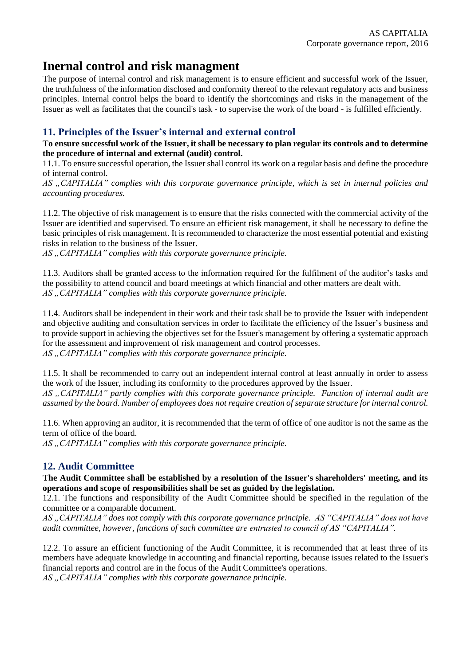## **Inernal control and risk managment**

The purpose of internal control and risk management is to ensure efficient and successful work of the Issuer, the truthfulness of the information disclosed and conformity thereof to the relevant regulatory acts and business principles. Internal control helps the board to identify the shortcomings and risks in the management of the Issuer as well as facilitates that the council's task - to supervise the work of the board - is fulfilled efficiently.

### **11. Principles of the Issuer's internal and external control**

#### **To ensure successful work of the Issuer, it shall be necessary to plan regular its controls and to determine the procedure of internal and external (audit) control.**

11.1. To ensure successful operation, the Issuer shall control its work on a regular basis and define the procedure of internal control.

*AS "CAPITALIA" complies with this corporate governance principle, which is set in internal policies and accounting procedures.* 

11.2. The objective of risk management is to ensure that the risks connected with the commercial activity of the Issuer are identified and supervised. To ensure an efficient risk management, it shall be necessary to define the basic principles of risk management. It is recommended to characterize the most essential potential and existing risks in relation to the business of the Issuer.

AS "CAPITALIA" complies with this corporate governance principle.

11.3. Auditors shall be granted access to the information required for the fulfilment of the auditor's tasks and the possibility to attend council and board meetings at which financial and other matters are dealt with. AS "CAPITALIA" complies with this corporate governance principle.

11.4. Auditors shall be independent in their work and their task shall be to provide the Issuer with independent and objective auditing and consultation services in order to facilitate the efficiency of the Issuer's business and to provide support in achieving the objectives set for the Issuer's management by offering a systematic approach for the assessment and improvement of risk management and control processes.

AS "CAPITALIA" complies with this corporate governance principle.

11.5. It shall be recommended to carry out an independent internal control at least annually in order to assess the work of the Issuer, including its conformity to the procedures approved by the Issuer.

*AS "CAPITALIA" partly complies with this corporate governance principle. Function of internal audit are assumed by the board. Number of employees does not require creation of separate structure for internal control.* 

11.6. When approving an auditor, it is recommended that the term of office of one auditor is not the same as the term of office of the board.

AS "CAPITALIA" complies with this corporate governance principle.

### **12. Audit Committee**

**The Audit Committee shall be established by a resolution of the Issuer's shareholders' meeting, and its operations and scope of responsibilities shall be set as guided by the legislation.**

12.1. The functions and responsibility of the Audit Committee should be specified in the regulation of the committee or a comparable document.

*AS "CAPITALIA" does not comply with this corporate governance principle. AS "CAPITALIA" does not have audit committee, however, functions of such committee are entrusted to council of AS "CAPITALIA".* 

12.2. To assure an efficient functioning of the Audit Committee, it is recommended that at least three of its members have adequate knowledge in accounting and financial reporting, because issues related to the Issuer's financial reports and control are in the focus of the Audit Committee's operations.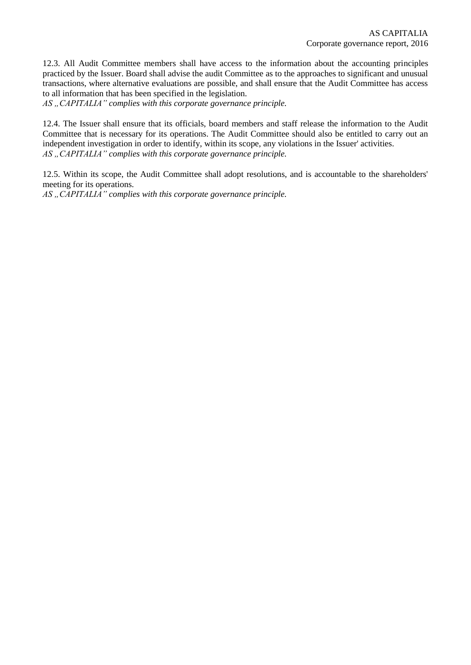12.3. All Audit Committee members shall have access to the information about the accounting principles practiced by the Issuer. Board shall advise the audit Committee as to the approaches to significant and unusual transactions, where alternative evaluations are possible, and shall ensure that the Audit Committee has access to all information that has been specified in the legislation.

AS "CAPITALIA" complies with this corporate governance principle.

12.4. The Issuer shall ensure that its officials, board members and staff release the information to the Audit Committee that is necessary for its operations. The Audit Committee should also be entitled to carry out an independent investigation in order to identify, within its scope, any violations in the Issuer' activities. AS "CAPITALIA" complies with this corporate governance principle.

12.5. Within its scope, the Audit Committee shall adopt resolutions, and is accountable to the shareholders' meeting for its operations.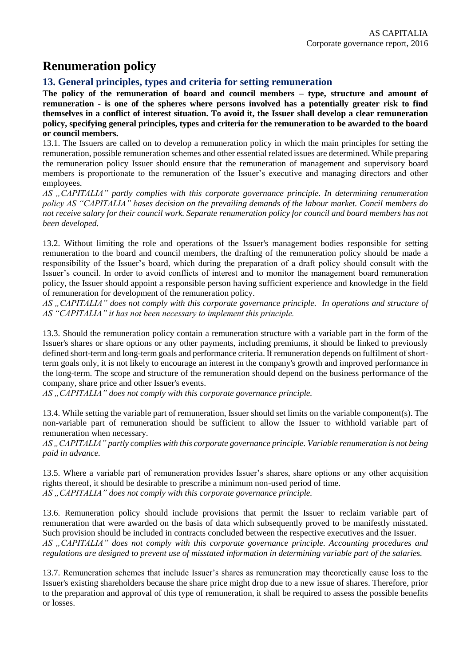# **Renumeration policy**

### **13. General principles, types and criteria for setting remuneration**

**The policy of the remuneration of board and council members – type, structure and amount of remuneration - is one of the spheres where persons involved has a potentially greater risk to find themselves in a conflict of interest situation. To avoid it, the Issuer shall develop a clear remuneration policy, specifying general principles, types and criteria for the remuneration to be awarded to the board or council members.**

13.1. The Issuers are called on to develop a remuneration policy in which the main principles for setting the remuneration, possible remuneration schemes and other essential related issues are determined. While preparing the remuneration policy Issuer should ensure that the remuneration of management and supervisory board members is proportionate to the remuneration of the Issuer's executive and managing directors and other employees.

*AS "CAPITALIA" partly complies with this corporate governance principle. In determining renumeration policy AS "CAPITALIA" bases decision on the prevailing demands of the labour market. Concil members do not receive salary for their council work. Separate renumeration policy for council and board members has not been developed.* 

13.2. Without limiting the role and operations of the Issuer's management bodies responsible for setting remuneration to the board and council members, the drafting of the remuneration policy should be made a responsibility of the Issuer's board, which during the preparation of a draft policy should consult with the Issuer's council. In order to avoid conflicts of interest and to monitor the management board remuneration policy, the Issuer should appoint a responsible person having sufficient experience and knowledge in the field of remuneration for development of the remuneration policy.

*AS "CAPITALIA" does not comply with this corporate governance principle. In operations and structure of AS "CAPITALIA" it has not been necessary to implement this principle.* 

13.3. Should the remuneration policy contain a remuneration structure with a variable part in the form of the Issuer's shares or share options or any other payments, including premiums, it should be linked to previously defined short-term and long-term goals and performance criteria. If remuneration depends on fulfilment of shortterm goals only, it is not likely to encourage an interest in the company's growth and improved performance in the long-term. The scope and structure of the remuneration should depend on the business performance of the company, share price and other Issuer's events.

*AS "CAPITALIA" does not comply with this corporate governance principle.* 

13.4. While setting the variable part of remuneration, Issuer should set limits on the variable component(s). The non-variable part of remuneration should be sufficient to allow the Issuer to withhold variable part of remuneration when necessary.

*AS "CAPITALIA" partly complies with this corporate governance principle. Variable renumeration is not being paid in advance.* 

13.5. Where a variable part of remuneration provides Issuer's shares, share options or any other acquisition rights thereof, it should be desirable to prescribe a minimum non-used period of time. AS, CAPITALIA" does not comply with this corporate governance principle.

13.6. Remuneration policy should include provisions that permit the Issuer to reclaim variable part of remuneration that were awarded on the basis of data which subsequently proved to be manifestly misstated. Such provision should be included in contracts concluded between the respective executives and the Issuer. *AS "CAPITALIA" does not comply with this corporate governance principle. Accounting procedures and regulations are designed to prevent use of misstated information in determining variable part of the salaries.* 

13.7. Remuneration schemes that include Issuer's shares as remuneration may theoretically cause loss to the Issuer's existing shareholders because the share price might drop due to a new issue of shares. Therefore, prior to the preparation and approval of this type of remuneration, it shall be required to assess the possible benefits or losses.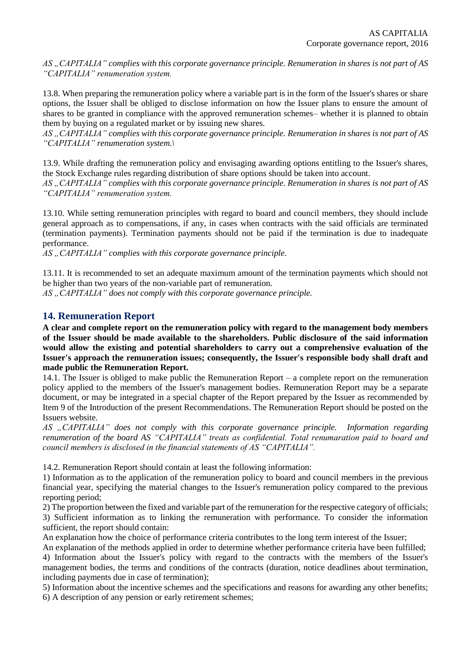*AS "CAPITALIA" complies with this corporate governance principle. Renumeration in shares is not part of AS "CAPITALIA" renumeration system.* 

13.8. When preparing the remuneration policy where a variable part is in the form of the Issuer's shares or share options, the Issuer shall be obliged to disclose information on how the Issuer plans to ensure the amount of shares to be granted in compliance with the approved remuneration schemes– whether it is planned to obtain them by buying on a regulated market or by issuing new shares.

*AS "CAPITALIA" complies with this corporate governance principle. Renumeration in shares is not part of AS "CAPITALIA" renumeration system.\*

13.9. While drafting the remuneration policy and envisaging awarding options entitling to the Issuer's shares, the Stock Exchange rules regarding distribution of share options should be taken into account.

*AS "CAPITALIA" complies with this corporate governance principle. Renumeration in shares is not part of AS "CAPITALIA" renumeration system.*

13.10. While setting remuneration principles with regard to board and council members, they should include general approach as to compensations, if any, in cases when contracts with the said officials are terminated (termination payments). Termination payments should not be paid if the termination is due to inadequate performance.

AS "CAPITALIA" complies with this corporate governance principle.

13.11. It is recommended to set an adequate maximum amount of the termination payments which should not be higher than two years of the non-variable part of remuneration.

AS, CAPITALIA" does not comply with this corporate governance principle.

#### **14. Remuneration Report**

**A clear and complete report on the remuneration policy with regard to the management body members of the Issuer should be made available to the shareholders. Public disclosure of the said information would allow the existing and potential shareholders to carry out a comprehensive evaluation of the Issuer's approach the remuneration issues; consequently, the Issuer's responsible body shall draft and made public the Remuneration Report.**

14.1. The Issuer is obliged to make public the Remuneration Report – a complete report on the remuneration policy applied to the members of the Issuer's management bodies. Remuneration Report may be a separate document, or may be integrated in a special chapter of the Report prepared by the Issuer as recommended by Item 9 of the Introduction of the present Recommendations. The Remuneration Report should be posted on the Issuers website.

*AS "CAPITALIA" does not comply with this corporate governance principle. Information regarding renumeration of the board AS "CAPITALIA" treats as confidential. Total renumaration paid to board and council members is disclosed in the financial statements of AS "CAPITALIA".* 

14.2. Remuneration Report should contain at least the following information:

1) Information as to the application of the remuneration policy to board and council members in the previous financial year, specifying the material changes to the Issuer's remuneration policy compared to the previous reporting period;

2) The proportion between the fixed and variable part of the remuneration for the respective category of officials; 3) Sufficient information as to linking the remuneration with performance. To consider the information sufficient, the report should contain:

An explanation how the choice of performance criteria contributes to the long term interest of the Issuer;

An explanation of the methods applied in order to determine whether performance criteria have been fulfilled;

4) Information about the Issuer's policy with regard to the contracts with the members of the Issuer's management bodies, the terms and conditions of the contracts (duration, notice deadlines about termination, including payments due in case of termination);

5) Information about the incentive schemes and the specifications and reasons for awarding any other benefits; 6) A description of any pension or early retirement schemes;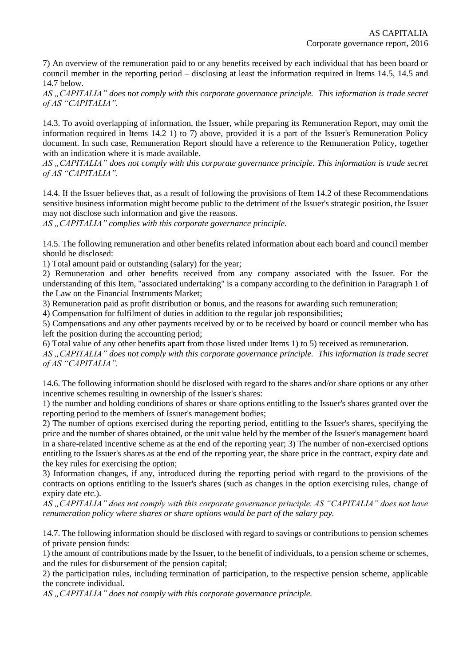7) An overview of the remuneration paid to or any benefits received by each individual that has been board or council member in the reporting period – disclosing at least the information required in Items 14.5, 14.5 and 14.7 below.

*AS "CAPITALIA" does not comply with this corporate governance principle. This information is trade secret of AS "CAPITALIA".* 

14.3. To avoid overlapping of information, the Issuer, while preparing its Remuneration Report, may omit the information required in Items 14.2 1) to 7) above, provided it is a part of the Issuer's Remuneration Policy document. In such case, Remuneration Report should have a reference to the Remuneration Policy, together with an indication where it is made available.

*AS "CAPITALIA" does not comply with this corporate governance principle. This information is trade secret of AS "CAPITALIA".*

14.4. If the Issuer believes that, as a result of following the provisions of Item 14.2 of these Recommendations sensitive business information might become public to the detriment of the Issuer's strategic position, the Issuer may not disclose such information and give the reasons.

AS ...CAPITALIA" complies with this corporate governance principle.

14.5. The following remuneration and other benefits related information about each board and council member should be disclosed:

1) Total amount paid or outstanding (salary) for the year;

2) Remuneration and other benefits received from any company associated with the Issuer. For the understanding of this Item, "associated undertaking" is a company according to the definition in Paragraph 1 of the Law on the Financial Instruments Market;

3) Remuneration paid as profit distribution or bonus, and the reasons for awarding such remuneration;

4) Compensation for fulfilment of duties in addition to the regular job responsibilities;

5) Compensations and any other payments received by or to be received by board or council member who has left the position during the accounting period;

6) Total value of any other benefits apart from those listed under Items 1) to 5) received as remuneration.

*AS "CAPITALIA" does not comply with this corporate governance principle. This information is trade secret of AS "CAPITALIA".*

14.6. The following information should be disclosed with regard to the shares and/or share options or any other incentive schemes resulting in ownership of the Issuer's shares:

1) the number and holding conditions of shares or share options entitling to the Issuer's shares granted over the reporting period to the members of Issuer's management bodies;

2) The number of options exercised during the reporting period, entitling to the Issuer's shares, specifying the price and the number of shares obtained, or the unit value held by the member of the Issuer's management board in a share-related incentive scheme as at the end of the reporting year; 3) The number of non-exercised options entitling to the Issuer's shares as at the end of the reporting year, the share price in the contract, expiry date and the key rules for exercising the option;

3) Information changes, if any, introduced during the reporting period with regard to the provisions of the contracts on options entitling to the Issuer's shares (such as changes in the option exercising rules, change of expiry date etc.).

*AS "CAPITALIA" does not comply with this corporate governance principle. AS "CAPITALIA" does not have renumeration policy where shares or share options would be part of the salary pay.* 

14.7. The following information should be disclosed with regard to savings or contributions to pension schemes of private pension funds:

1) the amount of contributions made by the Issuer, to the benefit of individuals, to a pension scheme or schemes, and the rules for disbursement of the pension capital;

2) the participation rules, including termination of participation, to the respective pension scheme, applicable the concrete individual.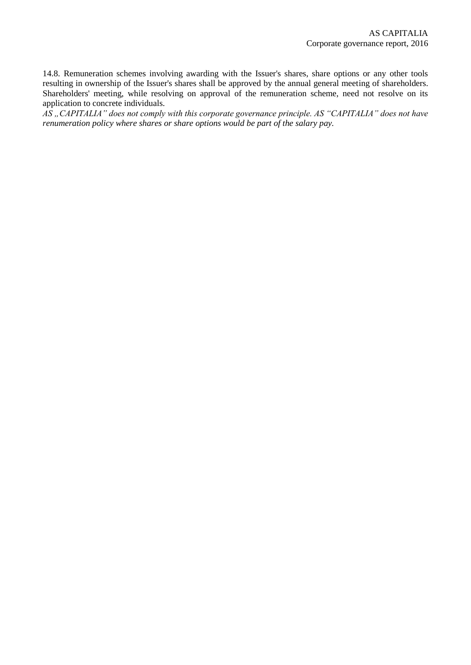14.8. Remuneration schemes involving awarding with the Issuer's shares, share options or any other tools resulting in ownership of the Issuer's shares shall be approved by the annual general meeting of shareholders. Shareholders' meeting, while resolving on approval of the remuneration scheme, need not resolve on its application to concrete individuals.

*AS "CAPITALIA" does not comply with this corporate governance principle. AS "CAPITALIA" does not have renumeration policy where shares or share options would be part of the salary pay.*